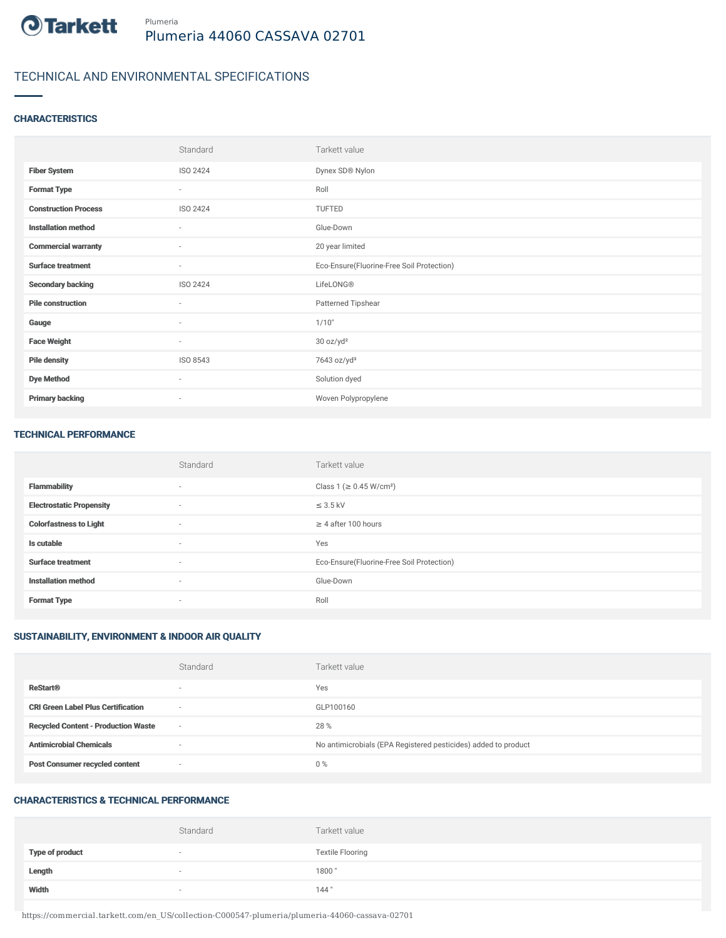

# TECHNICAL AND ENVIRONMENTAL SPECIFICATIONS

## **CHARACTERISTICS**

|                             | Standard | Tarkett value                             |
|-----------------------------|----------|-------------------------------------------|
| <b>Fiber System</b>         | ISO 2424 | Dynex SD® Nylon                           |
| <b>Format Type</b>          | $\sim$   | Roll                                      |
| <b>Construction Process</b> | ISO 2424 | TUFTED                                    |
| <b>Installation method</b>  | $\sim$   | Glue-Down                                 |
| <b>Commercial warranty</b>  | $\sim$   | 20 year limited                           |
| <b>Surface treatment</b>    | $\sim$   | Eco-Ensure(Fluorine-Free Soil Protection) |
| <b>Secondary backing</b>    | ISO 2424 | LifeLONG®                                 |
| <b>Pile construction</b>    | $\sim$   | Patterned Tipshear                        |
| Gauge                       | $\sim$   | 1/10"                                     |
| <b>Face Weight</b>          | $\sim$   | 30 oz/yd <sup>2</sup>                     |
| <b>Pile density</b>         | ISO 8543 | 7643 oz/yd <sup>3</sup>                   |
| <b>Dye Method</b>           | $\sim$   | Solution dyed                             |
| <b>Primary backing</b>      | $\sim$   | Woven Polypropylene                       |

#### TECHNICAL PERFORMANCE

|                                 | Standard                 | Tarkett value                             |
|---------------------------------|--------------------------|-------------------------------------------|
| <b>Flammability</b>             | $\sim$                   | Class 1 (≥ 0.45 W/cm <sup>2</sup> )       |
| <b>Electrostatic Propensity</b> | $\sim$                   | $\leq$ 3.5 kV                             |
| <b>Colorfastness to Light</b>   | $\sim$                   | $\geq$ 4 after 100 hours                  |
| Is cutable                      | $\overline{\phantom{a}}$ | Yes                                       |
| <b>Surface treatment</b>        | $\sim$                   | Eco-Ensure(Fluorine-Free Soil Protection) |
| <b>Installation method</b>      | $\sim$                   | Glue-Down                                 |
| <b>Format Type</b>              | $\overline{\phantom{a}}$ | Roll                                      |

## SUSTAINABILITY, ENVIRONMENT & INDOOR AIR QUALITY

|                                            | Standard                 | Tarkett value                                                  |
|--------------------------------------------|--------------------------|----------------------------------------------------------------|
| <b>ReStart®</b>                            | $\overline{\phantom{a}}$ | Yes                                                            |
| <b>CRI Green Label Plus Certification</b>  | $\overline{\phantom{a}}$ | GLP100160                                                      |
| <b>Recycled Content - Production Waste</b> | $\sim$                   | 28 %                                                           |
| <b>Antimicrobial Chemicals</b>             | $\overline{\phantom{a}}$ | No antimicrobials (EPA Registered pesticides) added to product |
| <b>Post Consumer recycled content</b>      | $\overline{\phantom{a}}$ | $0\%$                                                          |

## CHARACTERISTICS & TECHNICAL PERFORMANCE

|                        | Standard                 | Tarkett value           |
|------------------------|--------------------------|-------------------------|
| <b>Type of product</b> | $\overline{\phantom{a}}$ | <b>Textile Flooring</b> |
| Length                 | $\overline{\phantom{a}}$ | 1800"                   |
| Width                  | $\sim$                   | 144"                    |

https://commercial.tarkett.com/en\_US/collection-C000547-plumeria/plumeria-44060-cassava-02701